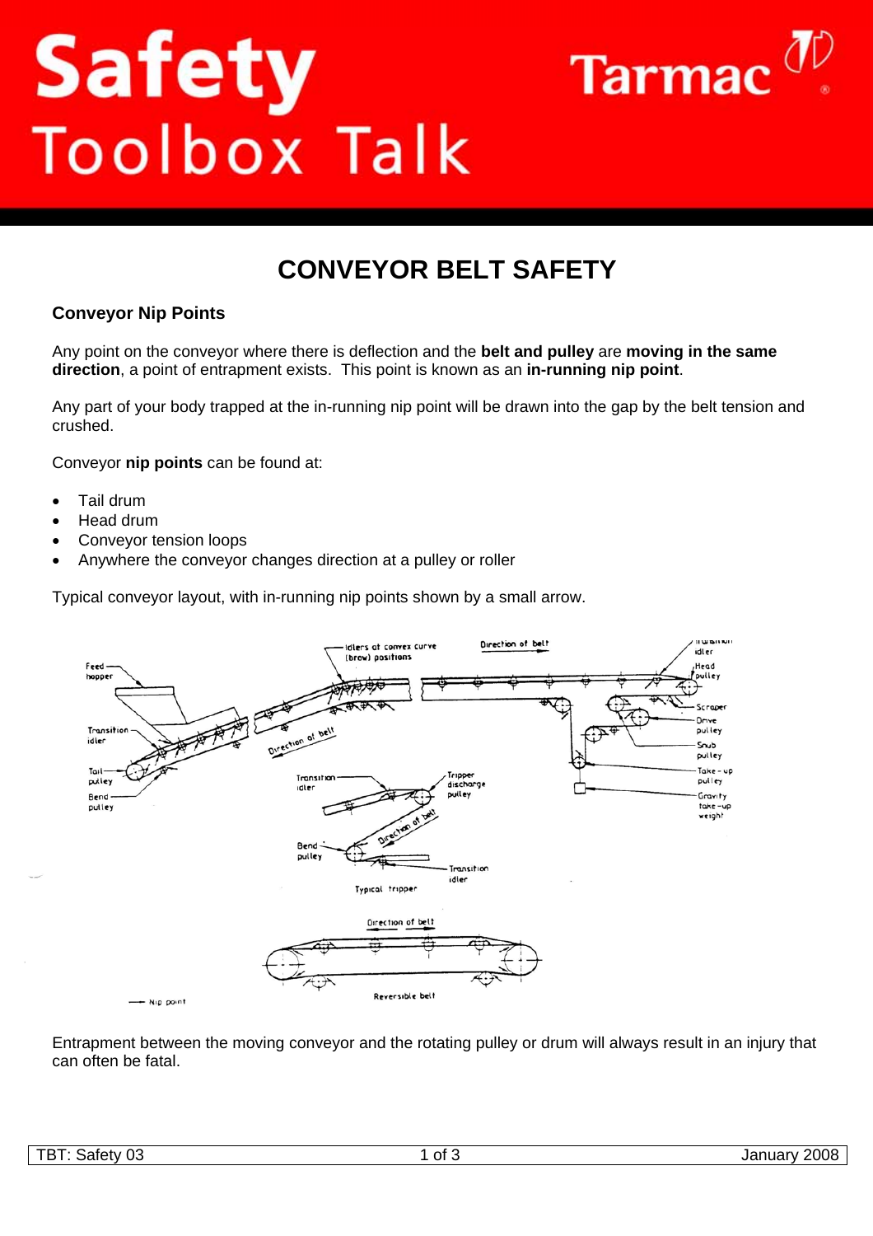# Safety<br>Toolbox Talk



# **CONVEYOR BELT SAFETY**

# **Conveyor Nip Points**

Any point on the conveyor where there is deflection and the **belt and pulley** are **moving in the same direction**, a point of entrapment exists. This point is known as an **in-running nip point**.

Any part of your body trapped at the in-running nip point will be drawn into the gap by the belt tension and crushed.

Conveyor **nip points** can be found at:

- Tail drum
- Head drum
- Conveyor tension loops
- Anywhere the conveyor changes direction at a pulley or roller

Typical conveyor layout, with in-running nip points shown by a small arrow.



Entrapment between the moving conveyor and the rotating pulley or drum will always result in an injury that can often be fatal.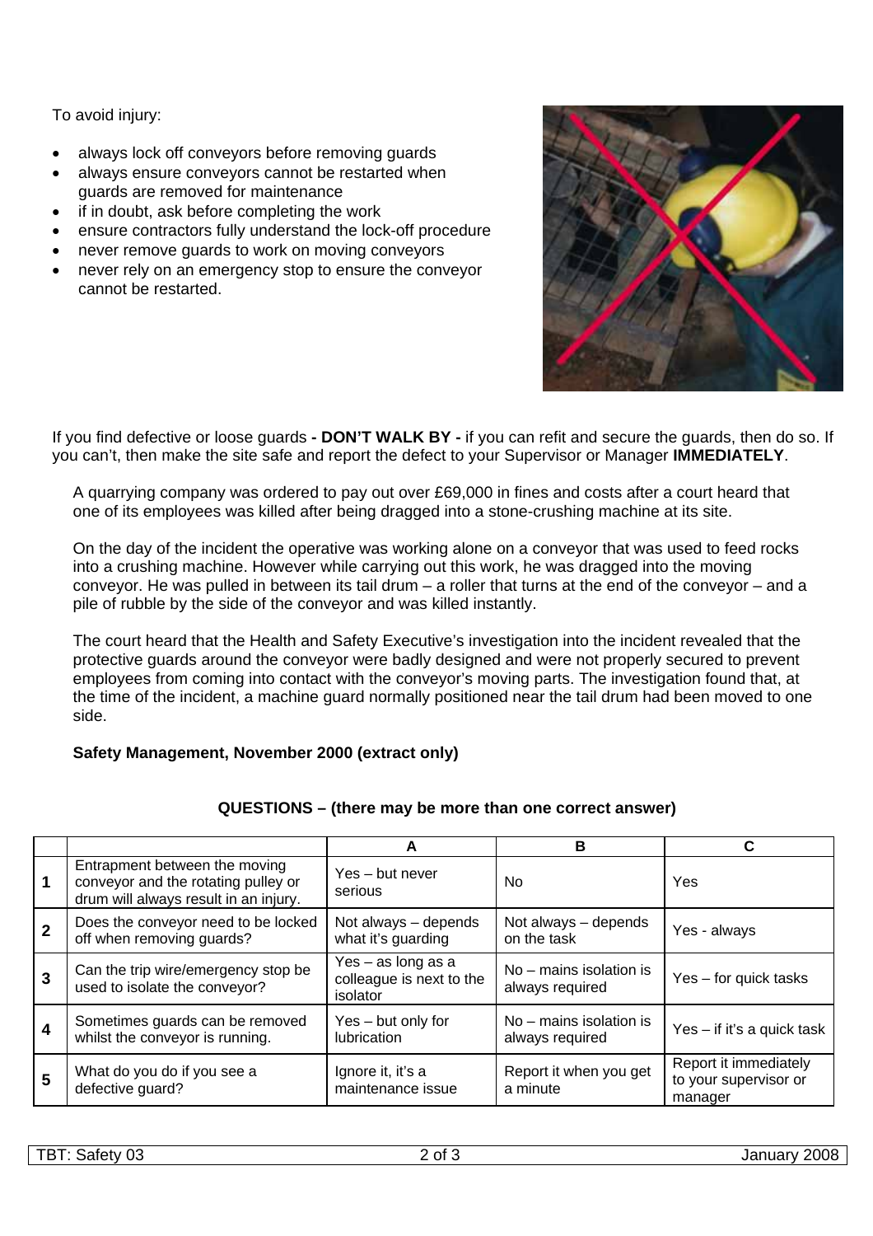To avoid injury:

- always lock off conveyors before removing quards
- always ensure conveyors cannot be restarted when guards are removed for maintenance
- if in doubt, ask before completing the work
- ensure contractors fully understand the lock-off procedure
- never remove guards to work on moving conveyors
- never rely on an emergency stop to ensure the conveyor cannot be restarted.



If you find defective or loose guards **- DON'T WALK BY -** if you can refit and secure the guards, then do so. If you can't, then make the site safe and report the defect to your Supervisor or Manager **IMMEDIATELY**.

A quarrying company was ordered to pay out over £69,000 in fines and costs after a court heard that one of its employees was killed after being dragged into a stone-crushing machine at its site.

On the day of the incident the operative was working alone on a conveyor that was used to feed rocks into a crushing machine. However while carrying out this work, he was dragged into the moving conveyor. He was pulled in between its tail drum – a roller that turns at the end of the conveyor – and a pile of rubble by the side of the conveyor and was killed instantly.

The court heard that the Health and Safety Executive's investigation into the incident revealed that the protective guards around the conveyor were badly designed and were not properly secured to prevent employees from coming into contact with the conveyor's moving parts. The investigation found that, at the time of the incident, a machine guard normally positioned near the tail drum had been moved to one side.

## **Safety Management, November 2000 (extract only)**

|                         |                                                                                                               |                                                              | в                                            |                                                           |
|-------------------------|---------------------------------------------------------------------------------------------------------------|--------------------------------------------------------------|----------------------------------------------|-----------------------------------------------------------|
| 1                       | Entrapment between the moving<br>conveyor and the rotating pulley or<br>drum will always result in an injury. | Yes - but never<br>serious                                   | No                                           | Yes                                                       |
| $\overline{2}$          | Does the conveyor need to be locked<br>off when removing guards?                                              | Not always - depends<br>what it's guarding                   | Not always - depends<br>on the task          | Yes - always                                              |
| 3                       | Can the trip wire/emergency stop be<br>used to isolate the conveyor?                                          | Yes $-$ as long as a<br>colleague is next to the<br>isolator | $No$ – mains isolation is<br>always required | Yes – for quick tasks                                     |
| $\overline{\mathbf{4}}$ | Sometimes guards can be removed<br>whilst the conveyor is running.                                            | Yes – but only for<br><b>lubrication</b>                     | $No$ – mains isolation is<br>always required | Yes $-$ if it's a quick task                              |
| 5                       | What do you do if you see a<br>defective guard?                                                               | Ignore it, it's a<br>maintenance issue                       | Report it when you get<br>a minute           | Report it immediately<br>to your supervisor or<br>manager |

## **QUESTIONS – (there may be more than one correct answer)**